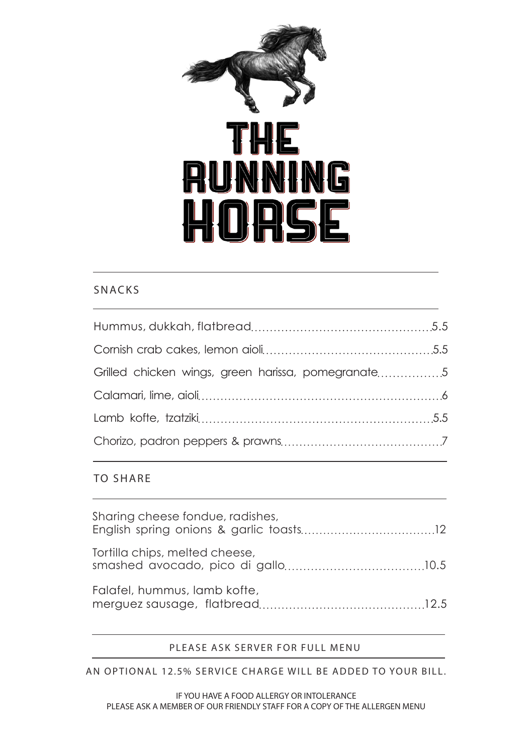

#### SNACKS

| Grilled chicken wings, green harissa, pomegranate5 |  |
|----------------------------------------------------|--|
|                                                    |  |
|                                                    |  |
|                                                    |  |

#### TO SHARE

| Sharing cheese fondue, radishes, |  |
|----------------------------------|--|
| Tortilla chips, melted cheese,   |  |
| Falafel, hummus, lamb kofte,     |  |

#### PLEASE ASK SERVER FOR FULL MENU

AN OPTIONAL 12.5% SERVICE CHARGE WILL BE ADDED TO YOUR BILL.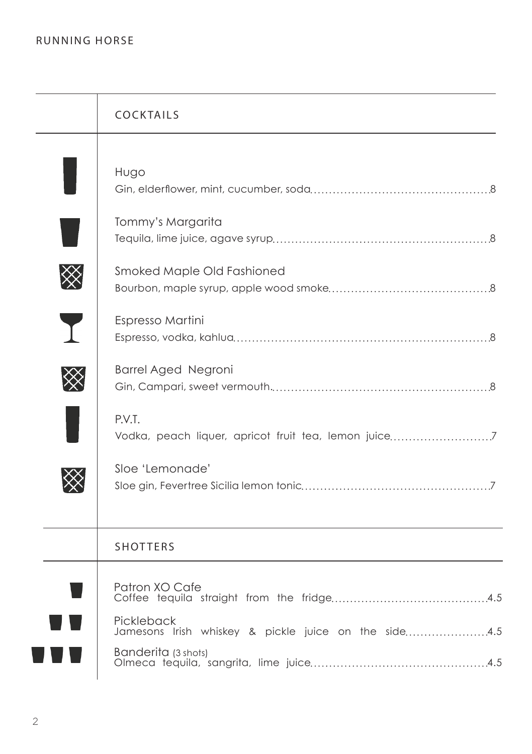| <b>COCKTAILS</b>                                                                                             |
|--------------------------------------------------------------------------------------------------------------|
| Hugo                                                                                                         |
| Tommy's Margarita                                                                                            |
| Smoked Maple Old Fashioned                                                                                   |
| Espresso Martini                                                                                             |
| <b>Barrel Aged Negroni</b>                                                                                   |
| P.V.T.                                                                                                       |
| Sloe 'Lemonade'                                                                                              |
| <b>SHOTTERS</b>                                                                                              |
| Patron XO Cafe<br>Pickleback<br>Jamesons Irish whiskey & pickle juice on the side 4.5<br>Banderita (3 shots) |
|                                                                                                              |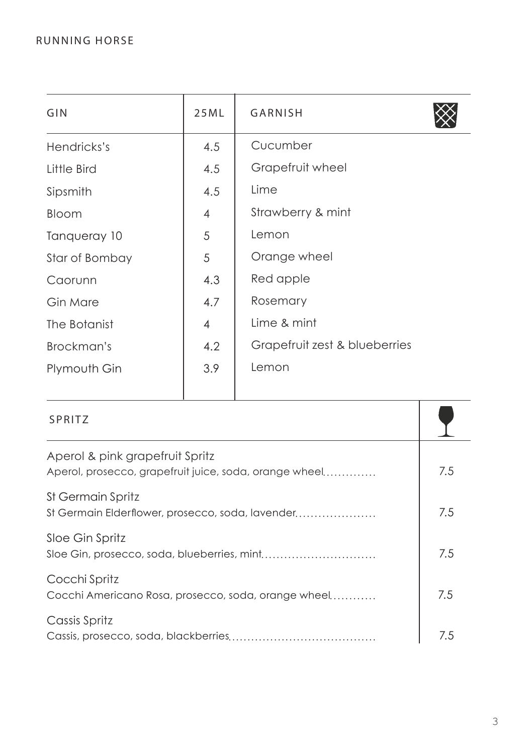| GIN            | 25ML           | GARNISH                       |
|----------------|----------------|-------------------------------|
| Hendricks's    | 4.5            | Cucumber                      |
| Little Bird    | 4.5            | Grapefruit wheel              |
| Sipsmith       | 4.5            | Lime                          |
| Bloom          | $\overline{4}$ | Strawberry & mint             |
| Tangueray 10   | 5              | Lemon                         |
| Star of Bombay | 5              | Orange wheel                  |
| Caorunn        | 4.3            | Red apple                     |
| Gin Mare       | 4.7            | Rosemary                      |
| The Botanist   | $\overline{4}$ | Lime & mint                   |
| Brockman's     | 4.2            | Grapefruit zest & blueberries |
| Plymouth Gin   | 3.9            | Lemon                         |

| SPRITZ                                                                                    |     |
|-------------------------------------------------------------------------------------------|-----|
| Aperol & pink grapefruit Spritz<br>Aperol, prosecco, grapefruit juice, soda, orange wheel | 7.5 |
| St Germain Spritz<br>St Germain Elderflower, prosecco, soda, lavender                     | 7.5 |
| Sloe Gin Spritz<br>Sloe Gin, prosecco, soda, blueberries, mint                            | 7.5 |
| Cocchi Spritz<br>Cocchi Americano Rosa, prosecco, soda, orange wheel                      | 7.5 |
| Cassis Spritz                                                                             | 7.5 |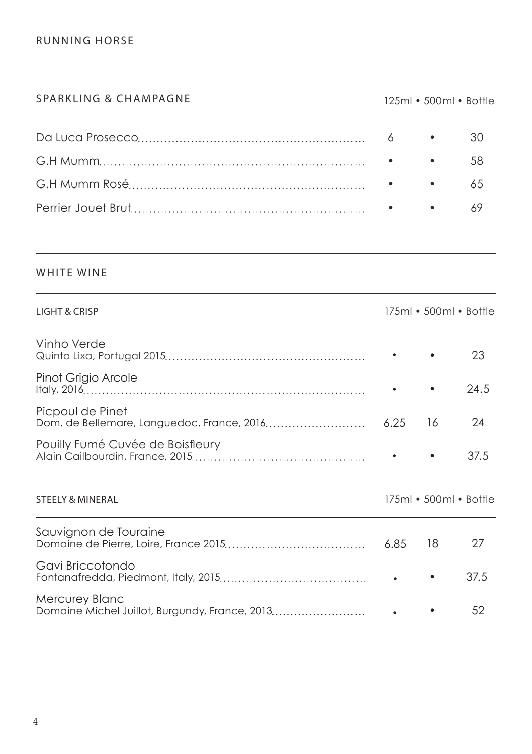| SPARKLING & CHAMPAGNE |                                  |           | 125ml • 500ml • Bottle |
|-----------------------|----------------------------------|-----------|------------------------|
|                       | 6                                | $\bullet$ |                        |
|                       |                                  | $\bullet$ | 58                     |
|                       | $\bullet$ . The set of $\bullet$ | $\bullet$ | 6.5                    |
|                       |                                  | $\bullet$ |                        |

## WHITE WINE

| <b>LIGHT &amp; CRISP</b>                                                |      |    | 175ml • 500ml • Bottle |
|-------------------------------------------------------------------------|------|----|------------------------|
| Vinho Verde                                                             |      |    | 23                     |
| Pinot Grigio Arcole                                                     |      |    | 24.5                   |
| Picpoul de Pinet<br>Dom. de Bellemare, Languedoc, France, 2016          | 6.25 | 16 | 24                     |
| Pouilly Fumé Cuvée de Boisfleury                                        |      |    | 37.5                   |
| <b>STEELY &amp; MINERAL</b>                                             |      |    | 175ml • 500ml • Bottle |
| Sauvignon de Touraine                                                   | 6.85 | 18 | 27                     |
| Gavi Briccotondo                                                        |      |    | 37.5                   |
| <b>Mercurey Blanc</b><br>Domaine Michel Juillot, Burgundy, France, 2013 |      |    | 52                     |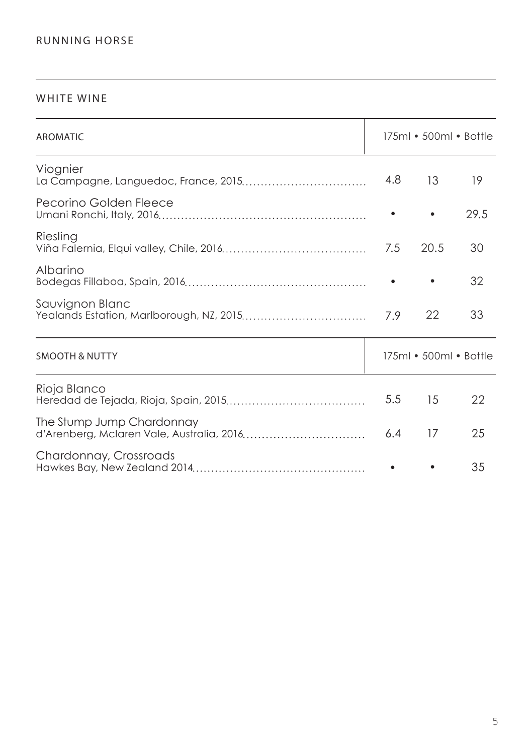#### WHITE WINE

| <b>AROMATIC</b>                                                        |     | $175ml \cdot 500ml \cdot Bottle$ |      |
|------------------------------------------------------------------------|-----|----------------------------------|------|
| Viognier                                                               | 4.8 | 13                               | 19   |
| Pecorino Golden Fleece                                                 |     |                                  | 29.5 |
| Riesling                                                               | 7.5 | 20.5                             | 30   |
| Albarino                                                               |     |                                  | 32   |
| Sauvignon Blanc<br>Yealands Estation, Marlborough, NZ, 2015            | 7.9 | 22                               | 33   |
| <b>SMOOTH &amp; NUTTY</b>                                              |     | 175ml • 500ml • Bottle           |      |
| Rioja Blanco                                                           | 5.5 | 15                               | 22   |
| The Stump Jump Chardonnay<br>d'Arenberg, Mclaren Vale, Australia, 2016 | 6.4 | 17                               | 25   |
| Chardonnay, Crossroads                                                 |     |                                  | 35   |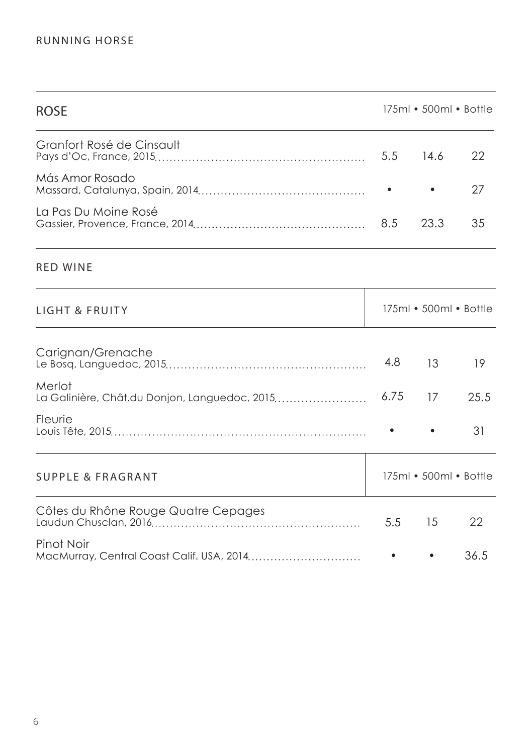| <b>ROSE</b>                                             | 175ml • 500ml • Bottle |                        |      |
|---------------------------------------------------------|------------------------|------------------------|------|
| Granfort Rosé de Cinsault                               | 5.5                    | 14.6                   | 22   |
| Más Amor Rosado                                         |                        |                        | 27   |
| La Pas Du Moine Rosé                                    | 8.5                    | 23.3                   | 35   |
| <b>RED WINE</b>                                         |                        |                        |      |
| LIGHT & FRUITY                                          |                        | 175ml • 500ml • Bottle |      |
| Carignan/Grenache                                       | 4.8                    | 13                     | 19   |
| Merlot<br>La Galinière, Chât.du Donjon, Languedoc, 2015 | 6.75                   | 17                     | 25.5 |
| Fleurie                                                 |                        |                        | 31   |
| SUPPLE & FRAGRANT                                       |                        | 175ml • 500ml • Bottle |      |
| Côtes du Rhône Rouge Quatre Cepages                     | 5.5                    | 15                     | 22   |
| Pinot Noir<br>MacMurray, Central Coast Calif. USA, 2014 |                        |                        | 36.5 |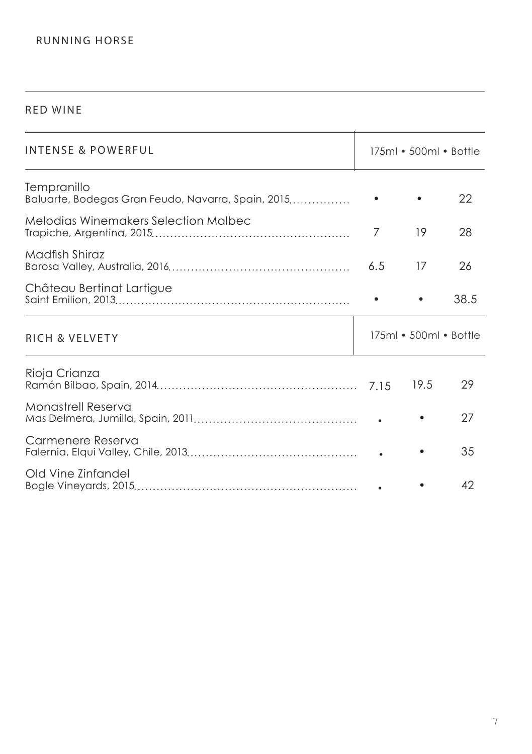#### RED WINE

| INTENSE & POWERFUL                                                | 175ml • 500ml • Bottle |                        |      |
|-------------------------------------------------------------------|------------------------|------------------------|------|
| Tempranillo<br>Baluarte, Bodegas Gran Feudo, Navarra, Spain, 2015 |                        |                        | 22   |
| Melodias Winemakers Selection Malbec                              | 7                      | 19                     | 28   |
| Madfish Shiraz                                                    | 6.5                    | 17                     | 26   |
| Château Bertinat Lartigue                                         |                        |                        | 38.5 |
| <b>RICH &amp; VELVETY</b>                                         |                        | 175ml • 500ml • Bottle |      |
| Rioja Crianza                                                     |                        | 19.5                   | 29   |
| Monastrell Reserva                                                |                        |                        | 27   |
| Carmenere Reserva                                                 |                        |                        | 35   |
| Old Vine Zinfandel                                                |                        |                        | 42   |